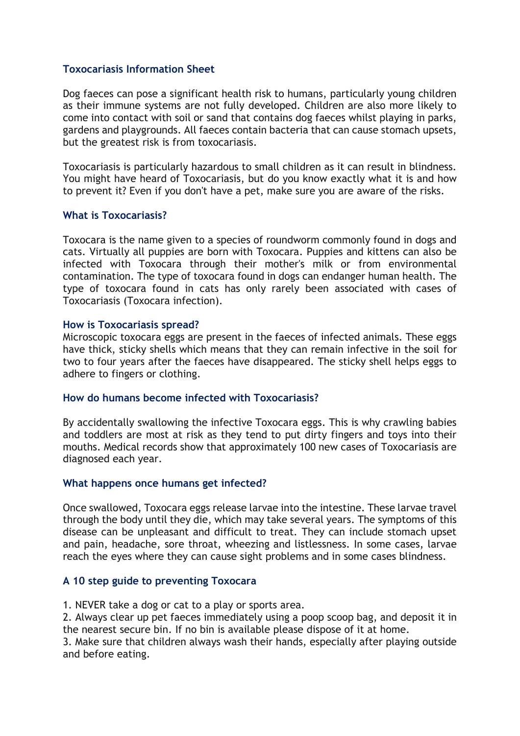# **Toxocariasis Information Sheet**

Dog faeces can pose a significant health risk to humans, particularly young children as their immune systems are not fully developed. Children are also more likely to come into contact with soil or sand that contains dog faeces whilst playing in parks, gardens and playgrounds. All faeces contain bacteria that can cause stomach upsets, but the greatest risk is from toxocariasis.

Toxocariasis is particularly hazardous to small children as it can result in blindness. You might have heard of Toxocariasis, but do you know exactly what it is and how to prevent it? Even if you don't have a pet, make sure you are aware of the risks.

# **What is Toxocariasis?**

Toxocara is the name given to a species of roundworm commonly found in dogs and cats. Virtually all puppies are born with Toxocara. Puppies and kittens can also be infected with Toxocara through their mother's milk or from environmental contamination. The type of toxocara found in dogs can endanger human health. The type of toxocara found in cats has only rarely been associated with cases of Toxocariasis (Toxocara infection).

# **How is Toxocariasis spread?**

Microscopic toxocara eggs are present in the faeces of infected animals. These eggs have thick, sticky shells which means that they can remain infective in the soil for two to four years after the faeces have disappeared. The sticky shell helps eggs to adhere to fingers or clothing.

# **How do humans become infected with Toxocariasis?**

By accidentally swallowing the infective Toxocara eggs. This is why crawling babies and toddlers are most at risk as they tend to put dirty fingers and toys into their mouths. Medical records show that approximately 100 new cases of Toxocariasis are diagnosed each year.

# **What happens once humans get infected?**

Once swallowed, Toxocara eggs release larvae into the intestine. These larvae travel through the body until they die, which may take several years. The symptoms of this disease can be unpleasant and difficult to treat. They can include stomach upset and pain, headache, sore throat, wheezing and listlessness. In some cases, larvae reach the eyes where they can cause sight problems and in some cases blindness.

# **A 10 step guide to preventing Toxocara**

1. NEVER take a dog or cat to a play or sports area.

2. Always clear up pet faeces immediately using a poop scoop bag, and deposit it in the nearest secure bin. If no bin is available please dispose of it at home.

3. Make sure that children always wash their hands, especially after playing outside and before eating.